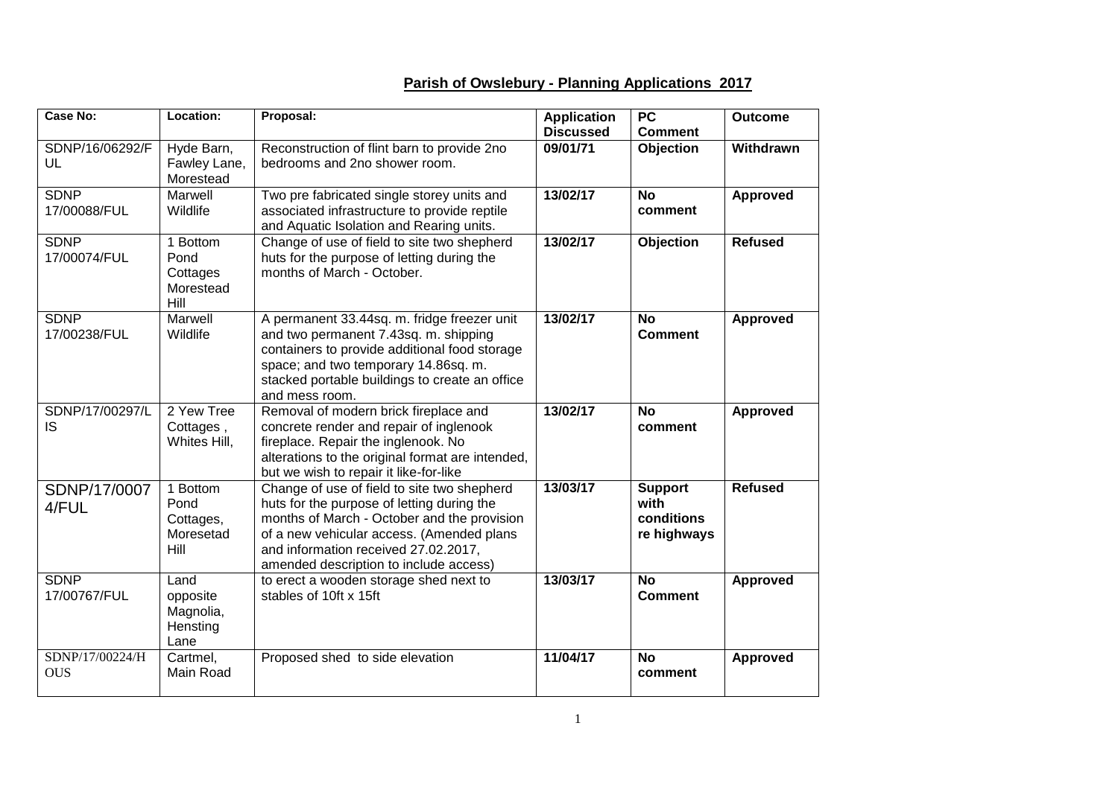## **Case No: Location: Proposal: Application Discussed PC Comment Outcome** SDNP/16/06292/F UL Hyde Barn, Fawley Lane, Morestead Reconstruction of flint barn to provide 2no bedrooms and 2no shower room. **09/01/71 Objection Withdrawn SDNP** 17/00088/FUL Marwell Wildlife Two pre fabricated single storey units and associated infrastructure to provide reptile and Aquatic Isolation and Rearing units. **13/02/17 No comment Approved** SDNP 17/00074/FUL 1 Bottom Pond Cottages Morestead Hill Change of use of field to site two shepherd huts for the purpose of letting during the months of March - October. **13/02/17 Objection Refused** SDNP 17/00238/FUL Marwell Wildlife A permanent 33.44sq. m. fridge freezer unit and two permanent 7.43sq. m. shipping containers to provide additional food storage space; and two temporary 14.86sq. m. stacked portable buildings to create an office and mess room. **13/02/17 No Comment Approved** SDNP/17/00297/L IS 2 Yew Tree Cottages , Whites Hill. Removal of modern brick fireplace and concrete render and repair of inglenook fireplace. Repair the inglenook. No alterations to the original format are intended, but we wish to repair it like-for-like **13/02/17 No comment Approved** SDNP/17/0007 4/FUL 1 Bottom Pond Cottages. Moresetad Hill Change of use of field to site two shepherd huts for the purpose of letting during the months of March - October and the provision of a new vehicular access. (Amended plans and information received 27.02.2017, amended description to include access) **13/03/17 Support with conditions re highways Refused SDNP** 17/00767/FUL Land opposite Magnolia, **Hensting** Lane to erect a wooden storage shed next to stables of 10ft x 15ft **13/03/17 No Comment Approved** SDNP/17/00224/H **OUS** Cartmel, Main Road Proposed shed to side elevation **11/04/17 No comment Approved**

## **Parish of Owslebury - Planning Applications 2017**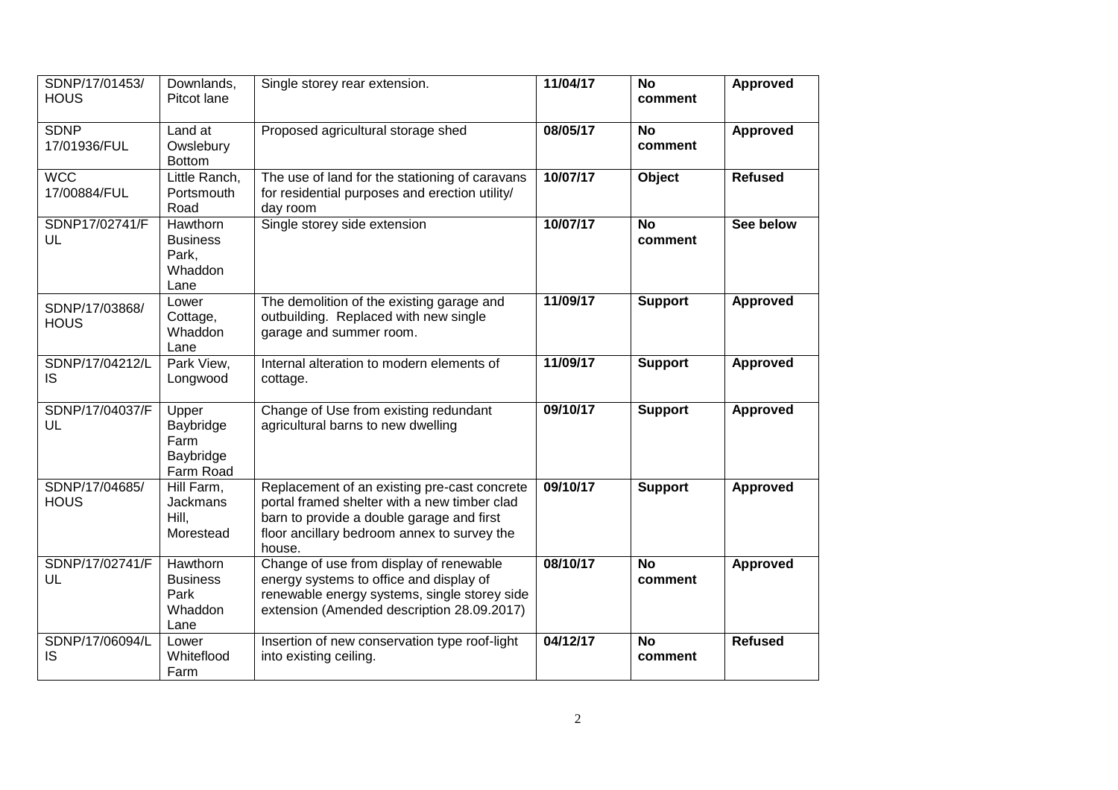| SDNP/17/01453/<br><b>HOUS</b> | Downlands,<br>Pitcot lane                               | Single storey rear extension.                                                                                                                                                                      | 11/04/17 | <b>No</b><br>comment | <b>Approved</b> |
|-------------------------------|---------------------------------------------------------|----------------------------------------------------------------------------------------------------------------------------------------------------------------------------------------------------|----------|----------------------|-----------------|
| <b>SDNP</b><br>17/01936/FUL   | Land at<br>Owslebury<br><b>Bottom</b>                   | Proposed agricultural storage shed                                                                                                                                                                 | 08/05/17 | <b>No</b><br>comment | Approved        |
| <b>WCC</b><br>17/00884/FUL    | Little Ranch,<br>Portsmouth<br>Road                     | The use of land for the stationing of caravans<br>for residential purposes and erection utility/<br>day room                                                                                       | 10/07/17 | Object               | <b>Refused</b>  |
| SDNP17/02741/F<br>UL          | Hawthorn<br><b>Business</b><br>Park,<br>Whaddon<br>Lane | Single storey side extension                                                                                                                                                                       | 10/07/17 | <b>No</b><br>comment | See below       |
| SDNP/17/03868/<br><b>HOUS</b> | Lower<br>Cottage,<br>Whaddon<br>Lane                    | The demolition of the existing garage and<br>outbuilding. Replaced with new single<br>garage and summer room.                                                                                      | 11/09/17 | <b>Support</b>       | <b>Approved</b> |
| SDNP/17/04212/L<br><b>IS</b>  | Park View,<br>Longwood                                  | Internal alteration to modern elements of<br>cottage.                                                                                                                                              | 11/09/17 | <b>Support</b>       | <b>Approved</b> |
| SDNP/17/04037/F<br>UL         | Upper<br>Baybridge<br>Farm<br>Baybridge<br>Farm Road    | Change of Use from existing redundant<br>agricultural barns to new dwelling                                                                                                                        | 09/10/17 | <b>Support</b>       | <b>Approved</b> |
| SDNP/17/04685/<br><b>HOUS</b> | Hill Farm,<br><b>Jackmans</b><br>Hill,<br>Morestead     | Replacement of an existing pre-cast concrete<br>portal framed shelter with a new timber clad<br>barn to provide a double garage and first<br>floor ancillary bedroom annex to survey the<br>house. | 09/10/17 | <b>Support</b>       | <b>Approved</b> |
| SDNP/17/02741/F<br>UL         | Hawthorn<br><b>Business</b><br>Park<br>Whaddon<br>Lane  | Change of use from display of renewable<br>energy systems to office and display of<br>renewable energy systems, single storey side<br>extension (Amended description 28.09.2017)                   | 08/10/17 | <b>No</b><br>comment | Approved        |
| SDNP/17/06094/L<br><b>IS</b>  | Lower<br>Whiteflood<br>Farm                             | Insertion of new conservation type roof-light<br>into existing ceiling.                                                                                                                            | 04/12/17 | <b>No</b><br>comment | <b>Refused</b>  |